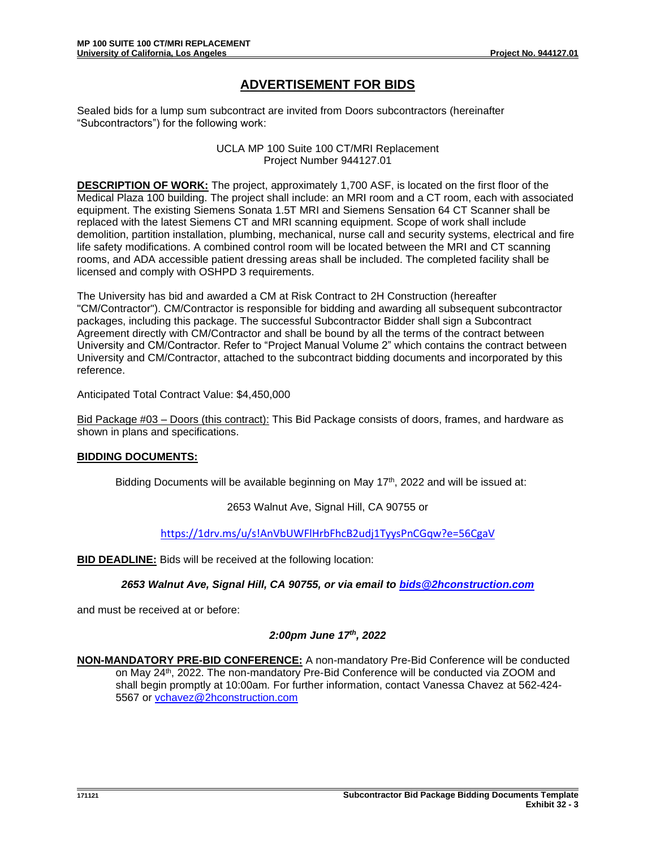## **ADVERTISEMENT FOR BIDS**

Sealed bids for a lump sum subcontract are invited from Doors subcontractors (hereinafter "Subcontractors") for the following work:

> UCLA MP 100 Suite 100 CT/MRI Replacement Project Number 944127.01

**DESCRIPTION OF WORK:** The project, approximately 1,700 ASF, is located on the first floor of the Medical Plaza 100 building. The project shall include: an MRI room and a CT room, each with associated equipment. The existing Siemens Sonata 1.5T MRI and Siemens Sensation 64 CT Scanner shall be replaced with the latest Siemens CT and MRI scanning equipment. Scope of work shall include demolition, partition installation, plumbing, mechanical, nurse call and security systems, electrical and fire life safety modifications. A combined control room will be located between the MRI and CT scanning rooms, and ADA accessible patient dressing areas shall be included. The completed facility shall be licensed and comply with OSHPD 3 requirements.

The University has bid and awarded a CM at Risk Contract to 2H Construction (hereafter "CM/Contractor"). CM/Contractor is responsible for bidding and awarding all subsequent subcontractor packages, including this package. The successful Subcontractor Bidder shall sign a Subcontract Agreement directly with CM/Contractor and shall be bound by all the terms of the contract between University and CM/Contractor. Refer to "Project Manual Volume 2" which contains the contract between University and CM/Contractor, attached to the subcontract bidding documents and incorporated by this reference.

Anticipated Total Contract Value: \$4,450,000

Bid Package #03 – Doors (this contract): This Bid Package consists of doors, frames, and hardware as shown in plans and specifications.

## **BIDDING DOCUMENTS:**

Bidding Documents will be available beginning on May  $17<sup>th</sup>$ , 2022 and will be issued at:

2653 Walnut Ave, Signal Hill, CA 90755 or

<https://1drv.ms/u/s!AnVbUWFlHrbFhcB2udj1TyysPnCGqw?e=56CgaV>

**BID DEADLINE:** Bids will be received at the following location:

*2653 Walnut Ave, Signal Hill, CA 90755, or via email to [bids@2hconstruction.com](mailto:bids@2hconstruction.com)*

and must be received at or before:

## *2:00pm June 17th, 2022*

**NON-MANDATORY PRE-BID CONFERENCE:** A non-mandatory Pre-Bid Conference will be conducted on May 24<sup>th</sup>, 2022. The non-mandatory Pre-Bid Conference will be conducted via ZOOM and shall begin promptly at 10:00am*.* For further information, contact Vanessa Chavez at 562-424- 5567 or [vchavez@2hconstruction.com](mailto:vchavez@2hconstruction.com)